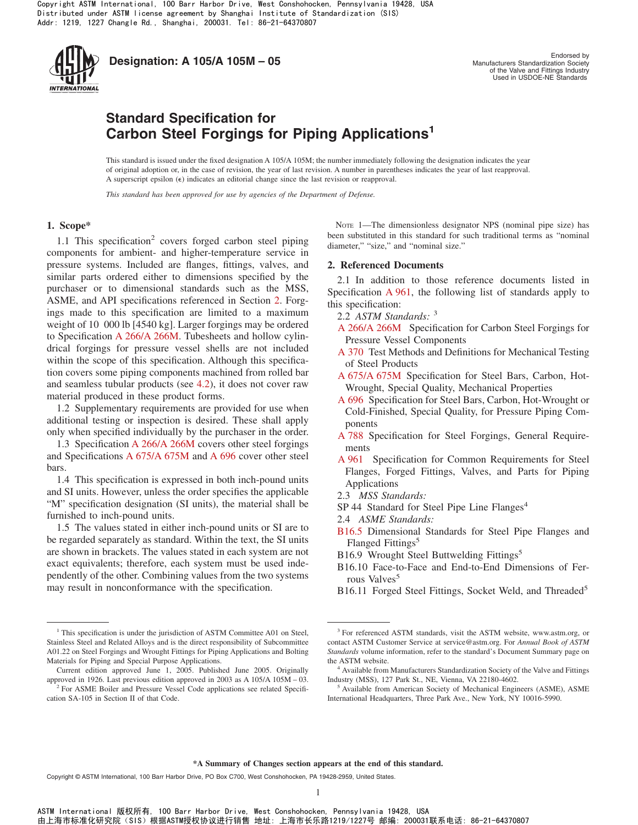

**Designation: A 105/A 105M – 05**<br>Manufacturers Standardization Society

Manufacturers Standardization Society of the Valve and Fittings Industry Used in USDOE-NE Standards

# **Standard Specification for Carbon Steel Forgings for Piping Applications<sup>1</sup>**

This standard is issued under the fixed designation A 105/A 105M; the number immediately following the designation indicates the year of original adoption or, in the case of revision, the year of last revision. A number in parentheses indicates the year of last reapproval. A superscript epsilon  $(\epsilon)$  indicates an editorial change since the last revision or reapproval.

*This standard has been approved for use by agencies of the Department of Defense.*

## **1. Scope\***

1.1 This specification<sup>2</sup> covers forged carbon steel piping components for ambient- and higher-temperature service in pressure systems. Included are flanges, fittings, valves, and similar parts ordered either to dimensions specified by the purchaser or to dimensional standards such as the MSS, ASME, and API specifications referenced in Section [2.](#page-0-0) Forgings made to this specification are limited to a maximum weight of 10 000 lb [4540 kg]. Larger forgings may be ordered to Specification [A 266/A 266M.](#page-0-1) Tubesheets and hollow cylindrical forgings for pressure vessel shells are not included within the scope of this specification. Although this specification covers some piping components machined from rolled bar and seamless tubular products (see [4.2\)](#page-1-0), it does not cover raw material produced in these product forms.

1.2 Supplementary requirements are provided for use when additional testing or inspection is desired. These shall apply only when specified individually by the purchaser in the order.

1.3 Specification [A 266/A 266M](#page-0-2) covers other steel forgings and Specifications [A 675/A 675M](#page-0-3) and [A 696](#page-0-4) cover other steel bars.

1.4 This specification is expressed in both inch-pound units and SI units. However, unless the order specifies the applicable "M" specification designation (SI units), the material shall be furnished to inch-pound units.

1.5 The values stated in either inch-pound units or SI are to be regarded separately as standard. Within the text, the SI units are shown in brackets. The values stated in each system are not exact equivalents; therefore, each system must be used independently of the other. Combining values from the two systems may result in nonconformance with the specification.

<span id="page-0-0"></span>NOTE 1—The dimensionless designator NPS (nominal pipe size) has been substituted in this standard for such traditional terms as "nominal diameter," "size," and "nominal size."

#### **2. Referenced Documents**

<span id="page-0-7"></span>2.1 In addition to those reference documents listed in Specification [A 961,](#page-1-1) the following list of standards apply to this specification:

- <span id="page-0-12"></span><span id="page-0-2"></span>2.2 *ASTM Standards:* <sup>3</sup>
- <span id="page-0-10"></span><span id="page-0-5"></span>[A 266/A 266M](#page-0-5) Specification for Carbon Steel Forgings for Pressure Vessel Components
- [A 370](#page-2-0) Test Methods and Definitions for Mechanical Testing of Steel Products
- <span id="page-0-3"></span>[A 675/A 675M](#page-0-6) Specification for Steel Bars, Carbon, Hot-Wrought, Special Quality, Mechanical Properties
- <span id="page-0-4"></span>[A 696](#page-0-6) Specification for Steel Bars, Carbon, Hot-Wrought or Cold-Finished, Special Quality, for Pressure Piping Components
- <span id="page-0-11"></span><span id="page-0-8"></span><span id="page-0-6"></span><span id="page-0-1"></span>[A 788](#page-1-2) Specification for Steel Forgings, General Requirements
- [A 961](#page-0-7) Specification for Common Requirements for Steel Flanges, Forged Fittings, Valves, and Parts for Piping Applications
- 2.3 *MSS Standards:*
- $SP 44$  Standard for Steel Pipe Line Flanges<sup>4</sup>
- <span id="page-0-9"></span>2.4 *ASME Standards:*
- [B16.5](#page-1-3) Dimensional Standards for Steel Pipe Flanges and Flanged Fittings<sup>5</sup>
- B16.9 Wrought Steel Buttwelding Fittings<sup>5</sup>
- B16.10 Face-to-Face and End-to-End Dimensions of Ferrous Valves<sup>5</sup>
- B16.11 Forged Steel Fittings, Socket Weld, and Threaded<sup>5</sup>

#### **\*A Summary of Changes section appears at the end of this standard.**

<sup>&</sup>lt;sup>1</sup> This specification is under the jurisdiction of ASTM Committee A01 on Steel, Stainless Steel and Related Alloys and is the direct responsibility of Subcommittee A01.22 on Steel Forgings and Wrought Fittings for Piping Applications and Bolting Materials for Piping and Special Purpose Applications.

Current edition approved June 1, 2005. Published June 2005. Originally approved in 1926. Last previous edition approved in 2003 as A 105/A  $105M - 03$ .

<sup>&</sup>lt;sup>2</sup> For ASME Boiler and Pressure Vessel Code applications see related Specification SA-105 in Section II of that Code.

<sup>&</sup>lt;sup>3</sup> For referenced ASTM standards, visit the ASTM website, www.astm.org, or contact ASTM Customer Service at service@astm.org. For *Annual Book of ASTM Standards* volume information, refer to the standard's Document Summary page on the ASTM website.

<sup>&</sup>lt;sup>4</sup> Available from Manufacturers Standardization Society of the Valve and Fittings Industry (MSS), 127 Park St., NE, Vienna, VA 22180-4602.

<sup>&</sup>lt;sup>5</sup> Available from American Society of Mechanical Engineers (ASME), ASME International Headquarters, Three Park Ave., New York, NY 10016-5990.

Copyright © ASTM International, 100 Barr Harbor Drive, PO Box C700, West Conshohocken, PA 19428-2959, United States.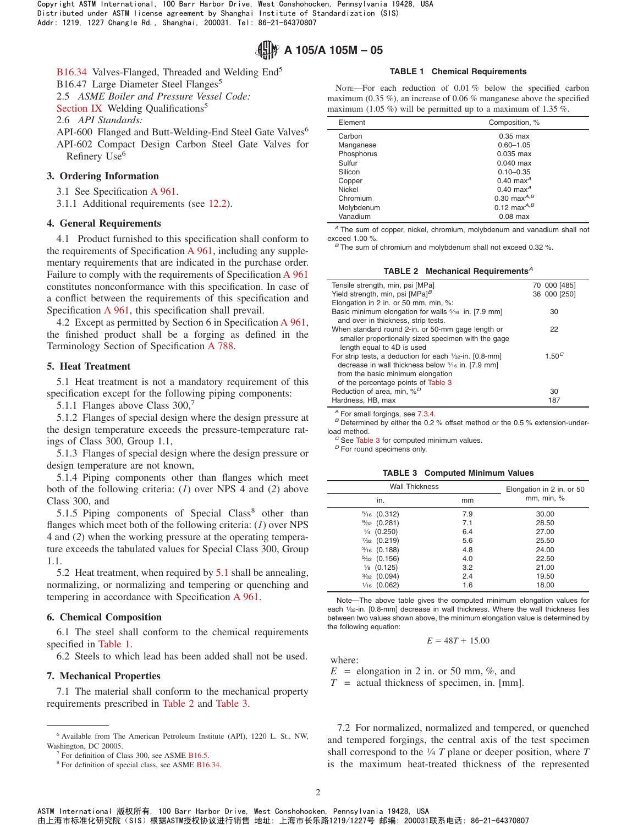

[B16.34](#page-1-4) Valves-Flanged, Threaded and Welding End<sup>5</sup>

B16.47 Large Diameter Steel Flanges<sup>5</sup>

2.5 *ASME Boiler and Pressure Vessel Code:*

[Section IX](#page-2-1) Welding Qualifications<sup>5</sup>

2.6 *API Standards:*

API-600 Flanged and Butt-Welding-End Steel Gate Valves<sup>6</sup> API-602 Compact Design Carbon Steel Gate Valves for Refinery Use<sup>6</sup>

## **3. Ordering Information**

3.1 See Specification [A 961.](#page-1-5)

3.1.1 Additional requirements (see [12.2\)](#page-2-2).

#### **4. General Requirements**

4.1 Product furnished to this specification shall conform to the requirements of Specification [A 961,](#page-1-6) including any supplementary requirements that are indicated in the purchase order. Failure to comply with the requirements of Specification [A 961](#page-1-7) constitutes nonconformance with this specification. In case of a conflict between the requirements of this specification and Specification [A 961,](#page-1-0) this specification shall prevail.

4.2 Except as permitted by Section 6 in Specification [A 961,](#page-1-8) the finished product shall be a forging as defined in the Terminology Section of Specification [A 788.](#page-0-8)

#### **5. Heat Treatment**

5.1 Heat treatment is not a mandatory requirement of this specification except for the following piping components:

5.1.1 Flanges above Class  $300<sup>7</sup>$ 

5.1.2 Flanges of special design where the design pressure at the design temperature exceeds the pressure-temperature ratings of Class 300, Group 1.1,

5.1.3 Flanges of special design where the design pressure or design temperature are not known,

5.1.4 Piping components other than flanges which meet both of the following criteria: (*1*) over NPS 4 and (*2*) above Class 300, and

5.1.5 Piping components of Special  $Class^8$  other than flanges which meet both of the following criteria: (*1*) over NPS 4 and (*2*) when the working pressure at the operating temperature exceeds the tabulated values for Special Class 300, Group 1.1.

5.2 Heat treatment, when required by [5.1](#page-1-9) shall be annealing, normalizing, or normalizing and tempering or quenching and tempering in accordance with Specification [A 961.](#page-2-3)

## **6. Chemical Composition**

6.1 The steel shall conform to the chemical requirements specified in [Table 1.](#page-1-10)

6.2 Steels to which lead has been added shall not be used.

## **7. Mechanical Properties**

7.1 The material shall conform to the mechanical property requirements prescribed in [Table 2](#page-1-11) and [Table 3.](#page-1-12)

## <span id="page-1-15"></span><span id="page-1-13"></span><span id="page-1-4"></span><span id="page-1-3"></span>**TABLE 1 Chemical Requirements**

<span id="page-1-10"></span>NOTE—For each reduction of 0.01 % below the specified carbon maximum (0.35 %), an increase of 0.06 % manganese above the specified maximum (1.05 %) will be permitted up to a maximum of 1.35 %.

| Element    | Composition, %          |
|------------|-------------------------|
| Carbon     | $0.35$ max              |
| Manganese  | $0.60 - 1.05$           |
| Phosphorus | $0.035$ max             |
| Sulfur     | $0.040$ max             |
| Silicon    | $0.10 - 0.35$           |
| Copper     | $0.40$ max <sup>A</sup> |
| Nickel     | $0.40$ max <sup>A</sup> |
| Chromium   | 0.30 max $^{A,B}$       |
| Molybdenum | 0.12 max $^{A,B}$       |
| Vanadium   | $0.08$ max              |

*<sup>A</sup>* The sum of copper, nickel, chromium, molybdenum and vanadium shall not exceed 1.00 %.<br><sup>*B*</sup> The sum of chromium and molybdenum shall not exceed 0.32 %.

<span id="page-1-16"></span><span id="page-1-7"></span><span id="page-1-6"></span><span id="page-1-5"></span><span id="page-1-2"></span><span id="page-1-1"></span><span id="page-1-0"></span>**TABLE 2 Mechanical Requirements***<sup>A</sup>*

<span id="page-1-11"></span>

| 70 000 [485]<br>Yield strength, min, psi $[MPa]^B$<br>36 000 [250]<br>Elongation in 2 in. or 50 mm, min, %:<br>Basic minimum elongation for walls 5/16 in. [7.9 mm]<br>30<br>and over in thickness, strip tests.<br>When standard round 2-in. or 50-mm gage length or<br>22<br>smaller proportionally sized specimen with the gage<br>length equal to 4D is used<br>$1.50^{C}$<br>For strip tests, a deduction for each 1/32-in. [0.8-mm]<br>decrease in wall thickness below 5/16 in. [7.9 mm]<br>from the basic minimum elongation<br>of the percentage points of Table 3<br>Reduction of area, min, % <sup>D</sup><br>30<br>Hardness, HB, max<br>187 |                                  |  |
|---------------------------------------------------------------------------------------------------------------------------------------------------------------------------------------------------------------------------------------------------------------------------------------------------------------------------------------------------------------------------------------------------------------------------------------------------------------------------------------------------------------------------------------------------------------------------------------------------------------------------------------------------------|----------------------------------|--|
|                                                                                                                                                                                                                                                                                                                                                                                                                                                                                                                                                                                                                                                         | Tensile strength, min, psi [MPa] |  |
|                                                                                                                                                                                                                                                                                                                                                                                                                                                                                                                                                                                                                                                         |                                  |  |
|                                                                                                                                                                                                                                                                                                                                                                                                                                                                                                                                                                                                                                                         |                                  |  |
|                                                                                                                                                                                                                                                                                                                                                                                                                                                                                                                                                                                                                                                         |                                  |  |
|                                                                                                                                                                                                                                                                                                                                                                                                                                                                                                                                                                                                                                                         |                                  |  |
|                                                                                                                                                                                                                                                                                                                                                                                                                                                                                                                                                                                                                                                         |                                  |  |
|                                                                                                                                                                                                                                                                                                                                                                                                                                                                                                                                                                                                                                                         |                                  |  |
|                                                                                                                                                                                                                                                                                                                                                                                                                                                                                                                                                                                                                                                         |                                  |  |
|                                                                                                                                                                                                                                                                                                                                                                                                                                                                                                                                                                                                                                                         |                                  |  |
|                                                                                                                                                                                                                                                                                                                                                                                                                                                                                                                                                                                                                                                         |                                  |  |
|                                                                                                                                                                                                                                                                                                                                                                                                                                                                                                                                                                                                                                                         |                                  |  |
|                                                                                                                                                                                                                                                                                                                                                                                                                                                                                                                                                                                                                                                         |                                  |  |
|                                                                                                                                                                                                                                                                                                                                                                                                                                                                                                                                                                                                                                                         |                                  |  |
|                                                                                                                                                                                                                                                                                                                                                                                                                                                                                                                                                                                                                                                         |                                  |  |

*A* For small forgings, see [7.3.4.](#page-2-4)<br>*B* Determined by either the 0.2 % offset method or the 0.5 % extension-under-

load method. *<sup>C</sup>* See [Table 3](#page-1-12) for computed minimum values. *<sup>D</sup>* For round specimens only.

<span id="page-1-9"></span>

|  |  |  |  |  |  |  | <b>TABLE 3 Computed Minimum Values</b> |  |
|--|--|--|--|--|--|--|----------------------------------------|--|
|--|--|--|--|--|--|--|----------------------------------------|--|

<span id="page-1-12"></span>

| <b>Wall Thickness</b>  | Elongation in 2 in. or 50 |            |  |
|------------------------|---------------------------|------------|--|
| in.                    | mm                        | mm, min, % |  |
| $\frac{5}{16}$ (0.312) | 7.9                       | 30.00      |  |
| $\frac{9}{32}$ (0.281) | 7.1                       | 28.50      |  |
| $\frac{1}{4}$ (0.250)  | 6.4                       | 27.00      |  |
| $\frac{7}{32}$ (0.219) | 5.6                       | 25.50      |  |
| $\frac{3}{16}$ (0.188) | 4.8                       | 24.00      |  |
| $\frac{5}{32}$ (0.156) | 4.0                       | 22.50      |  |
| $\frac{1}{8}$ (0.125)  | 3.2                       | 21.00      |  |
| $\frac{3}{32}$ (0.094) | 2.4                       | 19.50      |  |
| $\frac{1}{16}$ (0.062) | 1.6                       | 18.00      |  |

Note—The above table gives the computed minimum elongation values for each 1/32-in. [0.8-mm] decrease in wall thickness. Where the wall thickness lies between two values shown above, the minimum elongation value is determined by the following equation:

<span id="page-1-14"></span><span id="page-1-8"></span>
$$
E=48T+15.00
$$

where:

 $E =$  elongation in 2 in. or 50 mm, %, and

*T* = actual thickness of specimen, in. [mm].

<span id="page-1-17"></span>7.2 For normalized, normalized and tempered, or quenched and tempered forgings, the central axis of the test specimen shall correspond to the 1⁄4 *T* plane or deeper position, where *T* is the maximum heat-treated thickness of the represented

<sup>6</sup> Available from The American Petroleum Institute (API), 1220 L. St., NW, Washington, DC 20005.

<sup>&</sup>lt;sup>7</sup> For definition of Class 300, see ASME [B16.5.](#page-0-9)

<sup>8</sup> For definition of special class, see ASME [B16.34.](#page-1-13)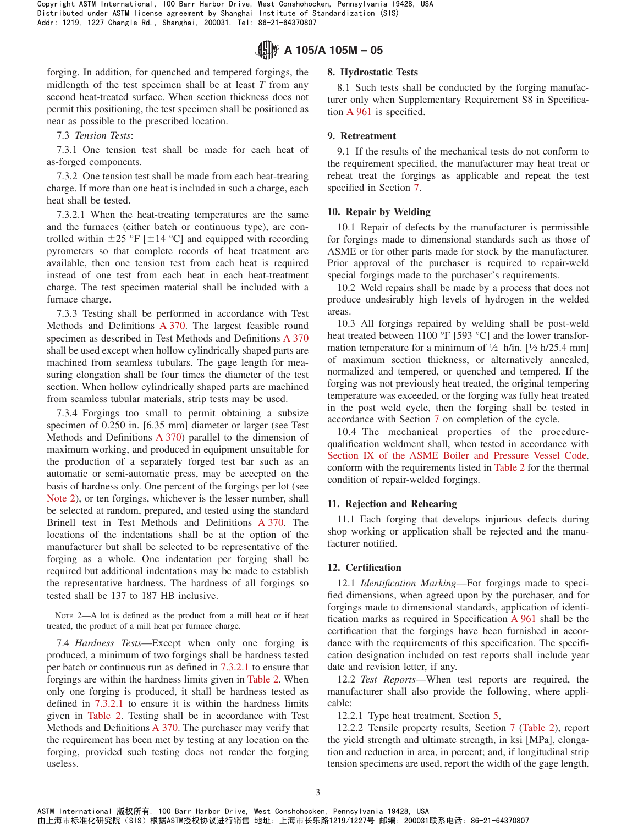

forging. In addition, for quenched and tempered forgings, the midlength of the test specimen shall be at least *T* from any second heat-treated surface. When section thickness does not permit this positioning, the test specimen shall be positioned as near as possible to the prescribed location.

7.3 *Tension Tests*:

7.3.1 One tension test shall be made for each heat of as-forged components.

7.3.2 One tension test shall be made from each heat-treating charge. If more than one heat is included in such a charge, each heat shall be tested.

7.3.2.1 When the heat-treating temperatures are the same and the furnaces (either batch or continuous type), are controlled within  $\pm 25$  °F [ $\pm 14$  °C] and equipped with recording pyrometers so that complete records of heat treatment are available, then one tension test from each heat is required instead of one test from each heat in each heat-treatment charge. The test specimen material shall be included with a furnace charge.

7.3.3 Testing shall be performed in accordance with Test Methods and Definitions [A 370.](#page-2-5) The largest feasible round specimen as described in Test Methods and Definitions [A 370](#page-2-6) shall be used except when hollow cylindrically shaped parts are machined from seamless tubulars. The gage length for measuring elongation shall be four times the diameter of the test section. When hollow cylindrically shaped parts are machined from seamless tubular materials, strip tests may be used.

7.3.4 Forgings too small to permit obtaining a subsize specimen of 0.250 in. [6.35 mm] diameter or larger (see Test Methods and Definitions [A 370\)](#page-2-7) parallel to the dimension of maximum working, and produced in equipment unsuitable for the production of a separately forged test bar such as an automatic or semi-automatic press, may be accepted on the basis of hardness only. One percent of the forgings per lot (see [Note 2\)](#page-2-8), or ten forgings, whichever is the lesser number, shall be selected at random, prepared, and tested using the standard Brinell test in Test Methods and Definitions [A 370.](#page-2-9) The locations of the indentations shall be at the option of the manufacturer but shall be selected to be representative of the forging as a whole. One indentation per forging shall be required but additional indentations may be made to establish the representative hardness. The hardness of all forgings so tested shall be 137 to 187 HB inclusive.

NOTE 2—A lot is defined as the product from a mill heat or if heat treated, the product of a mill heat per furnace charge.

7.4 *Hardness Tests*—Except when only one forging is produced, a minimum of two forgings shall be hardness tested per batch or continuous run as defined in [7.3.2.1](#page-2-10) to ensure that forgings are within the hardness limits given in [Table 2.](#page-1-11) When only one forging is produced, it shall be hardness tested as defined in [7.3.2.1](#page-2-10) to ensure it is within the hardness limits given in [Table 2.](#page-1-11) Testing shall be in accordance with Test Methods and Definitions [A 370.](#page-0-10) The purchaser may verify that the requirement has been met by testing at any location on the forging, provided such testing does not render the forging useless.

#### **8. Hydrostatic Tests**

<span id="page-2-3"></span>8.1 Such tests shall be conducted by the forging manufacturer only when Supplementary Requirement S8 in Specification [A 961](#page-2-11) is specified.

#### **9. Retreatment**

9.1 If the results of the mechanical tests do not conform to the requirement specified, the manufacturer may heat treat or reheat treat the forgings as applicable and repeat the test specified in Section [7.](#page-1-14)

#### <span id="page-2-10"></span>**10. Repair by Welding**

10.1 Repair of defects by the manufacturer is permissible for forgings made to dimensional standards such as those of ASME or for other parts made for stock by the manufacturer. Prior approval of the purchaser is required to repair-weld special forgings made to the purchaser's requirements.

<span id="page-2-0"></span>10.2 Weld repairs shall be made by a process that does not produce undesirably high levels of hydrogen in the welded areas.

<span id="page-2-5"></span>10.3 All forgings repaired by welding shall be post-weld heat treated between 1100 °F [593 °C] and the lower transformation temperature for a minimum of  $\frac{1}{2}$  h/in. [ $\frac{1}{2}$  h/25.4 mm] of maximum section thickness, or alternatively annealed, normalized and tempered, or quenched and tempered. If the forging was not previously heat treated, the original tempering temperature was exceeded, or the forging was fully heat treated in the post weld cycle, then the forging shall be tested in accordance with Section [7](#page-1-14) on completion of the cycle.

<span id="page-2-6"></span><span id="page-2-4"></span><span id="page-2-1"></span>10.4 The mechanical properties of the procedurequalification weldment shall, when tested in accordance with [Section IX of the ASME Boiler and Pressure Vessel Code,](#page-1-15) conform with the requirements listed in [Table 2](#page-1-11) for the thermal condition of repair-welded forgings.

#### <span id="page-2-7"></span>**11. Rejection and Rehearing**

11.1 Each forging that develops injurious defects during shop working or application shall be rejected and the manufacturer notified.

#### <span id="page-2-8"></span>**12. Certification**

<span id="page-2-12"></span><span id="page-2-11"></span>12.1 *Identification Marking*—For forgings made to specified dimensions, when agreed upon by the purchaser, and for forgings made to dimensional standards, application of identification marks as required in Specification [A 961](#page-3-0) shall be the certification that the forgings have been furnished in accordance with the requirements of this specification. The specification designation included on test reports shall include year date and revision letter, if any.

<span id="page-2-13"></span><span id="page-2-2"></span>12.2 *Test Reports*—When test reports are required, the manufacturer shall also provide the following, where applicable:

<span id="page-2-9"></span>12.2.1 Type heat treatment, Section [5,](#page-1-16)

12.2.2 Tensile property results, Section [7](#page-1-14) [\(Table 2\)](#page-1-11), report the yield strength and ultimate strength, in ksi [MPa], elongation and reduction in area, in percent; and, if longitudinal strip tension specimens are used, report the width of the gage length,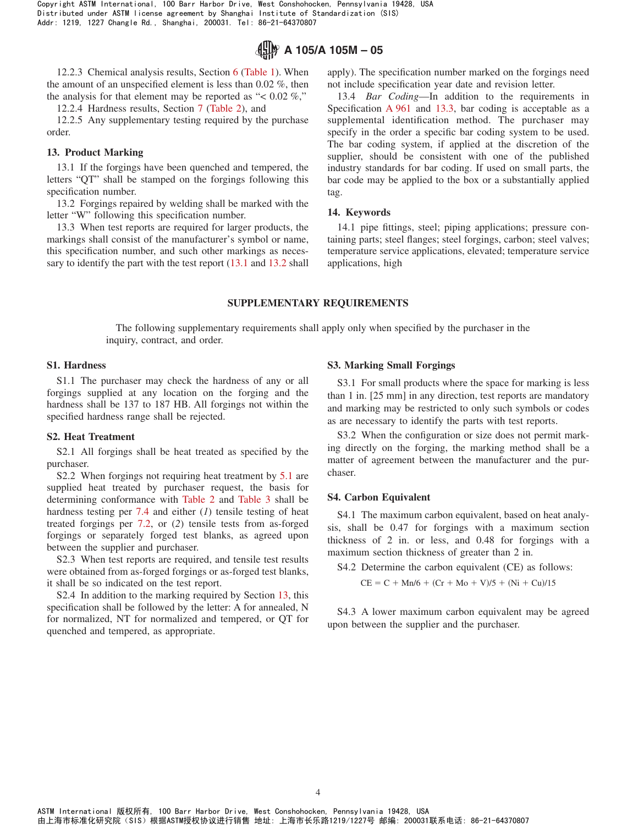

12.2.3 Chemical analysis results, Section 6 [\(Table 1\)](#page-1-10). When the amount of an unspecified element is less than 0.02 %, then the analysis for that element may be reported as " $< 0.02\%$ ","

12.2.4 Hardness results, Section [7](#page-1-14) [\(Table 2\)](#page-1-11), and

12.2.5 Any supplementary testing required by the purchase order.

## **13. Product Marking**

13.1 If the forgings have been quenched and tempered, the letters "QT" shall be stamped on the forgings following this specification number.

13.2 Forgings repaired by welding shall be marked with the letter "W" following this specification number.

13.3 When test reports are required for larger products, the markings shall consist of the manufacturer's symbol or name, this specification number, and such other markings as necessary to identify the part with the test report  $(13.1 \text{ and } 13.2 \text{ shall})$  $(13.1 \text{ and } 13.2 \text{ shall})$  $(13.1 \text{ and } 13.2 \text{ shall})$  $(13.1 \text{ and } 13.2 \text{ shall})$  apply). The specification number marked on the forgings need not include specification year date and revision letter.

<span id="page-3-0"></span>13.4 *Bar Coding*—In addition to the requirements in Specification [A 961](#page-0-11) and [13.3,](#page-3-3) bar coding is acceptable as a supplemental identification method. The purchaser may specify in the order a specific bar coding system to be used. The bar coding system, if applied at the discretion of the supplier, should be consistent with one of the published industry standards for bar coding. If used on small parts, the bar code may be applied to the box or a substantially applied tag.

## <span id="page-3-2"></span><span id="page-3-1"></span>**14. Keywords**

<span id="page-3-3"></span>14.1 pipe fittings, steel; piping applications; pressure containing parts; steel flanges; steel forgings, carbon; steel valves; temperature service applications, elevated; temperature service applications, high

## **SUPPLEMENTARY REQUIREMENTS**

The following supplementary requirements shall apply only when specified by the purchaser in the inquiry, contract, and order.

## **S1. Hardness**

S1.1 The purchaser may check the hardness of any or all forgings supplied at any location on the forging and the hardness shall be 137 to 187 HB. All forgings not within the specified hardness range shall be rejected.

#### **S2. Heat Treatment**

S2.1 All forgings shall be heat treated as specified by the purchaser.

S2.2 When forgings not requiring heat treatment by [5.1](#page-1-9) are supplied heat treated by purchaser request, the basis for determining conformance with [Table 2](#page-1-11) and [Table 3](#page-1-12) shall be hardness testing per [7.4](#page-2-12) and either (*1*) tensile testing of heat treated forgings per [7.2,](#page-1-17) or (*2*) tensile tests from as-forged forgings or separately forged test blanks, as agreed upon between the supplier and purchaser.

S2.3 When test reports are required, and tensile test results were obtained from as-forged forgings or as-forged test blanks, it shall be so indicated on the test report.

S2.4 In addition to the marking required by Section 13, this specification shall be followed by the letter: A for annealed, N for normalized, NT for normalized and tempered, or QT for quenched and tempered, as appropriate.

## **S3. Marking Small Forgings**

S3.1 For small products where the space for marking is less than 1 in. [25 mm] in any direction, test reports are mandatory and marking may be restricted to only such symbols or codes as are necessary to identify the parts with test reports.

S3.2 When the configuration or size does not permit marking directly on the forging, the marking method shall be a matter of agreement between the manufacturer and the purchaser.

#### **S4. Carbon Equivalent**

S4.1 The maximum carbon equivalent, based on heat analysis, shall be 0.47 for forgings with a maximum section thickness of 2 in. or less, and 0.48 for forgings with a maximum section thickness of greater than 2 in.

S4.2 Determine the carbon equivalent (CE) as follows:

 $CE = C + Mn/6 + (Cr + Mo + V)/5 + (Ni + Cu)/15$ 

S4.3 A lower maximum carbon equivalent may be agreed upon between the supplier and the purchaser.